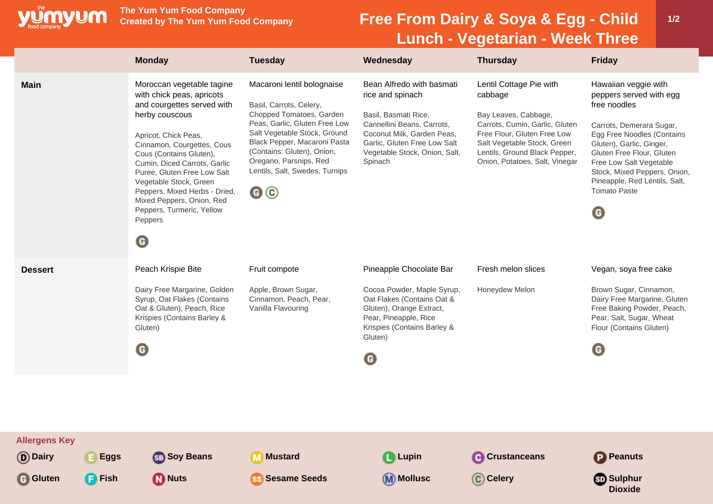

**The Yum Yum Food Company**

## **Free From Dairy & Soya & Egg - Child Lunch - Vegetarian - Week Three**

| <b>Main</b><br>Macaroni lentil bolognaise<br>Bean Alfredo with basmati<br>Moroccan vegetable tagine<br>Lentil Cottage Pie with<br>with chick peas, apricots<br>rice and spinach<br>cabbage<br>and courgettes served with<br>free noodles<br>Basil, Carrots, Celery,                                                                                                                                                                                                                                                                                                                                                                                                                                                                                                                                                                                                                                                                                        | Hawaiian veggie with<br>peppers served with egg<br>Carrots, Demerara Sugar,                                                                                                     |
|------------------------------------------------------------------------------------------------------------------------------------------------------------------------------------------------------------------------------------------------------------------------------------------------------------------------------------------------------------------------------------------------------------------------------------------------------------------------------------------------------------------------------------------------------------------------------------------------------------------------------------------------------------------------------------------------------------------------------------------------------------------------------------------------------------------------------------------------------------------------------------------------------------------------------------------------------------|---------------------------------------------------------------------------------------------------------------------------------------------------------------------------------|
| Chopped Tomatoes, Garden<br>herby couscous<br>Basil, Basmati Rice,<br>Bay Leaves, Cabbage,<br>Peas, Garlic, Gluten Free Low<br>Cannellini Beans, Carrots,<br>Carrots, Cumin, Garlic, Gluten<br>Salt Vegetable Stock, Ground<br>Coconut Milk, Garden Peas,<br>Free Flour, Gluten Free Low<br>Apricot, Chick Peas,<br>Black Pepper, Macaroni Pasta<br>Garlic, Gluten Free Low Salt<br>Salt Vegetable Stock, Green<br>Cinnamon, Courgettes, Cous<br>(Contains: Gluten), Onion,<br>Vegetable Stock, Onion, Salt,<br>Lentils, Ground Black Pepper,<br>Cous (Contains Gluten),<br>Oregano, Parsnips, Red<br>Spinach<br>Onion, Potatoes, Salt, Vinegar<br>Cumin, Diced Carrots, Garlic<br>Lentils, Salt, Swedes, Turnips<br>Puree, Gluten Free Low Salt<br>Vegetable Stock, Green<br>@©<br>Peppers, Mixed Herbs - Dried,<br><b>Tomato Paste</b><br>Mixed Peppers, Onion, Red<br>Peppers, Turmeric, Yellow<br>$\mathbf \Theta$<br>Peppers<br>$\boldsymbol{\Theta}$ | Egg Free Noodles (Contains<br>Gluten), Garlic, Ginger,<br>Gluten Free Flour, Gluten<br>Free Low Salt Vegetable<br>Stock, Mixed Peppers, Onion,<br>Pineapple, Red Lentils, Salt, |
| Peach Krispie Bite<br>Fresh melon slices<br>Fruit compote<br>Pineapple Chocolate Bar<br><b>Dessert</b><br>Dairy Free Margarine, Golden<br>Apple, Brown Sugar,<br>Honeydew Melon<br>Cocoa Powder, Maple Syrup,<br>Syrup, Oat Flakes (Contains<br>Cinnamon, Peach, Pear,<br>Oat Flakes (Contains Oat &<br>Oat & Gluten), Peach, Rice<br>Vanilla Flavouring<br>Gluten), Orange Extract,<br>Pear, Pineapple, Rice<br>Krispies (Contains Barley &<br>Krispies (Contains Barley &<br>Gluten)<br>Gluten)<br>$\boldsymbol{\Theta}$<br>$\mathbf \Theta$<br>G                                                                                                                                                                                                                                                                                                                                                                                                        | Vegan, soya free cake<br>Brown Sugar, Cinnamon,<br>Dairy Free Margarine, Gluten<br>Free Baking Powder, Peach,<br>Pear, Salt, Sugar, Wheat<br>Flour (Contains Gluten)            |
| <b>Allergens Key</b><br>(D) Dairy<br><b>Eggs</b><br><b>SB</b> Soy Beans<br><b>M</b> Mustard<br><b>Q</b> Lupin<br><b>Crustanceans</b><br><b>P</b> Peanuts                                                                                                                                                                                                                                                                                                                                                                                                                                                                                                                                                                                                                                                                                                                                                                                                   |                                                                                                                                                                                 |
| <b>G</b> Gluten<br><b>P</b> Fish<br><b>M</b> Nuts<br><b>Sesame Seeds</b><br><b>M</b> Mollusc<br>C Celery<br><b>SD</b> Sulphur                                                                                                                                                                                                                                                                                                                                                                                                                                                                                                                                                                                                                                                                                                                                                                                                                              | <b>Dioxide</b>                                                                                                                                                                  |